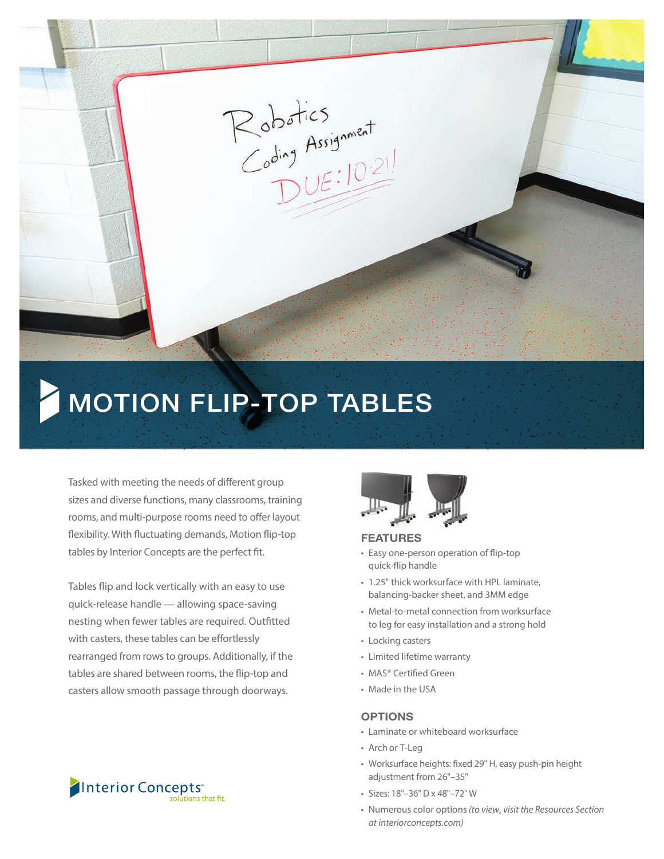

# MOTION FLIP-TOP TABLES

Tasked with meeting the needs of different group sizes and diverse functions, many classrooms, training rooms, and multi-purpose rooms need to offer layout flexibility. With fluctuating demands, Motion flip-top tables by Interior Concepts are the perfect fit.

Tables flip and lock vertically with an easy to use quick-release handle — allowing space-saving nesting when fewer tables are required. Outfitted with casters, these tables can be effortlessly rearranged from rows to groups. Additionally, if the tables are shared between rooms, the flip-top and casters allow smooth passage through doorways.





#### FEATURES

- Easy one-person operation of flip-top quick-flip handle
- 1.25" thick worksurface with HPL laminate, balancing-backer sheet, and 3MM edge
- Metal-to-metal connection from worksurface to leg for easy installation and a strong hold
- Locking casters
- Limited lifetime warranty
- MAS® Certified Green
- Made in the USA

#### **OPTIONS**

- Laminate or whiteboard worksurface
- Arch or T-Leg
- Worksurface heights: fixed 29" H, easy push-pin height adjustment from 26"–35"
- Sizes: 18"–36" D x 48"–72" W
- Numerous color options*(to view, visit the Resources Section at interiorconcepts.com)*